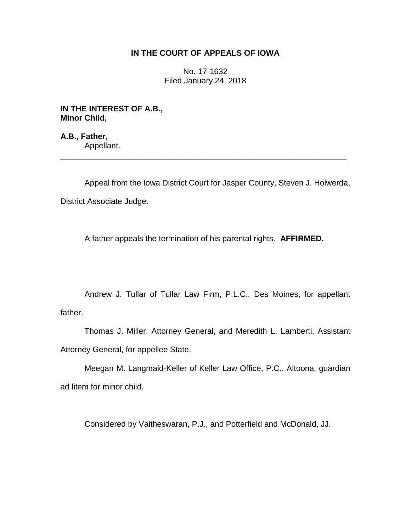# **IN THE COURT OF APPEALS OF IOWA**

No. 17-1632 Filed January 24, 2018

**IN THE INTEREST OF A.B., Minor Child,**

**A.B., Father,** Appellant.

Appeal from the Iowa District Court for Jasper County, Steven J. Holwerda, District Associate Judge.

\_\_\_\_\_\_\_\_\_\_\_\_\_\_\_\_\_\_\_\_\_\_\_\_\_\_\_\_\_\_\_\_\_\_\_\_\_\_\_\_\_\_\_\_\_\_\_\_\_\_\_\_\_\_\_\_\_\_\_\_\_\_\_\_

A father appeals the termination of his parental rights. **AFFIRMED.**

Andrew J. Tullar of Tullar Law Firm, P.L.C., Des Moines, for appellant father.

Thomas J. Miller, Attorney General, and Meredith L. Lamberti, Assistant Attorney General, for appellee State.

Meegan M. Langmaid-Keller of Keller Law Office, P.C., Altoona, guardian ad litem for minor child.

Considered by Vaitheswaran, P.J., and Potterfield and McDonald, JJ.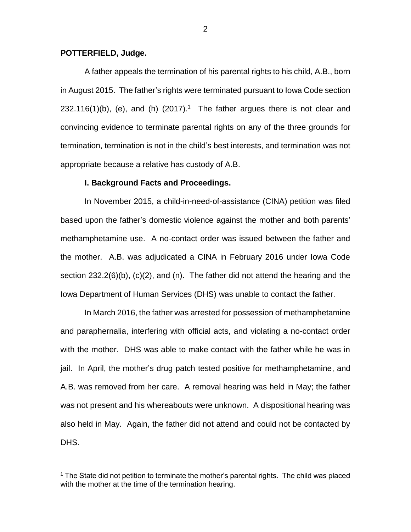### **POTTERFIELD, Judge.**

 $\overline{a}$ 

A father appeals the termination of his parental rights to his child, A.B., born in August 2015. The father's rights were terminated pursuant to Iowa Code section  $232.116(1)(b)$ , (e), and (h)  $(2017).<sup>1</sup>$  The father argues there is not clear and convincing evidence to terminate parental rights on any of the three grounds for termination, termination is not in the child's best interests, and termination was not appropriate because a relative has custody of A.B.

#### **I. Background Facts and Proceedings.**

In November 2015, a child-in-need-of-assistance (CINA) petition was filed based upon the father's domestic violence against the mother and both parents' methamphetamine use. A no-contact order was issued between the father and the mother. A.B. was adjudicated a CINA in February 2016 under Iowa Code section 232.2(6)(b), (c)(2), and (n). The father did not attend the hearing and the Iowa Department of Human Services (DHS) was unable to contact the father.

In March 2016, the father was arrested for possession of methamphetamine and paraphernalia, interfering with official acts, and violating a no-contact order with the mother. DHS was able to make contact with the father while he was in jail. In April, the mother's drug patch tested positive for methamphetamine, and A.B. was removed from her care. A removal hearing was held in May; the father was not present and his whereabouts were unknown. A dispositional hearing was also held in May. Again, the father did not attend and could not be contacted by DHS.

<sup>&</sup>lt;sup>1</sup> The State did not petition to terminate the mother's parental rights. The child was placed with the mother at the time of the termination hearing.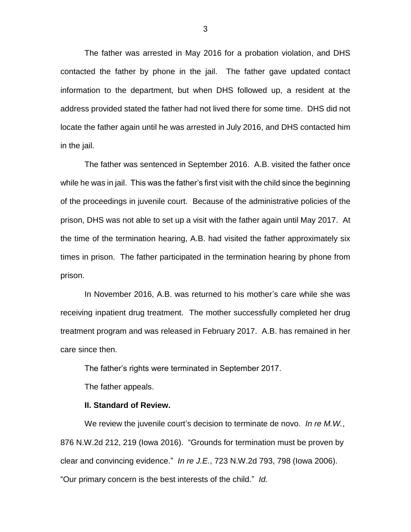The father was arrested in May 2016 for a probation violation, and DHS contacted the father by phone in the jail. The father gave updated contact information to the department, but when DHS followed up, a resident at the address provided stated the father had not lived there for some time. DHS did not locate the father again until he was arrested in July 2016, and DHS contacted him in the jail.

The father was sentenced in September 2016. A.B. visited the father once while he was in jail. This was the father's first visit with the child since the beginning of the proceedings in juvenile court. Because of the administrative policies of the prison, DHS was not able to set up a visit with the father again until May 2017. At the time of the termination hearing, A.B. had visited the father approximately six times in prison. The father participated in the termination hearing by phone from prison.

In November 2016, A.B. was returned to his mother's care while she was receiving inpatient drug treatment. The mother successfully completed her drug treatment program and was released in February 2017. A.B. has remained in her care since then.

The father's rights were terminated in September 2017.

The father appeals.

#### **II. Standard of Review.**

We review the juvenile court's decision to terminate de novo. *In re M.W.*, 876 N.W.2d 212, 219 (Iowa 2016). "Grounds for termination must be proven by clear and convincing evidence." *In re J.E.*, 723 N.W.2d 793, 798 (Iowa 2006). "Our primary concern is the best interests of the child." *Id.*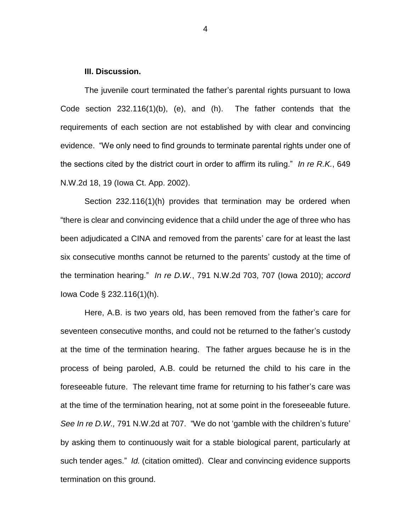## **III. Discussion.**

The juvenile court terminated the father's parental rights pursuant to Iowa Code section 232.116(1)(b), (e), and (h). The father contends that the requirements of each section are not established by with clear and convincing evidence. "We only need to find grounds to terminate parental rights under one of the sections cited by the district court in order to affirm its ruling." *In re R.K.*, 649 N.W.2d 18, 19 (Iowa Ct. App. 2002).

Section 232.116(1)(h) provides that termination may be ordered when "there is clear and convincing evidence that a child under the age of three who has been adjudicated a CINA and removed from the parents' care for at least the last six consecutive months cannot be returned to the parents' custody at the time of the termination hearing." *In re D.W.*, 791 N.W.2d 703, 707 (Iowa 2010); *accord*  Iowa Code § 232.116(1)(h).

Here, A.B. is two years old, has been removed from the father's care for seventeen consecutive months, and could not be returned to the father's custody at the time of the termination hearing. The father argues because he is in the process of being paroled, A.B. could be returned the child to his care in the foreseeable future. The relevant time frame for returning to his father's care was at the time of the termination hearing, not at some point in the foreseeable future. *See In re D.W.,* 791 N.W.2d at 707. "We do not 'gamble with the children's future' by asking them to continuously wait for a stable biological parent, particularly at such tender ages." *Id.* (citation omitted). Clear and convincing evidence supports termination on this ground.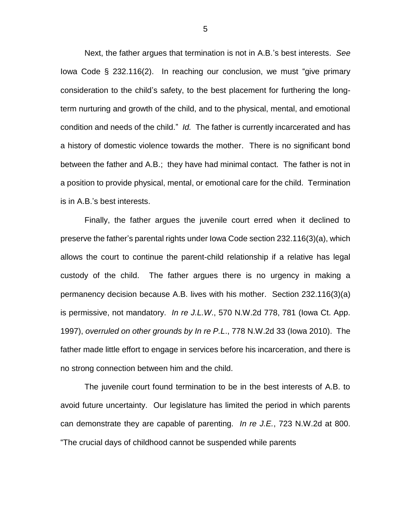Next, the father argues that termination is not in A.B.'s best interests. *See*  Iowa Code § 232.116(2). In reaching our conclusion, we must "give primary consideration to the child's safety, to the best placement for furthering the longterm nurturing and growth of the child, and to the physical, mental, and emotional condition and needs of the child." *Id.* The father is currently incarcerated and has a history of domestic violence towards the mother. There is no significant bond between the father and A.B.; they have had minimal contact. The father is not in a position to provide physical, mental, or emotional care for the child. Termination is in A.B.'s best interests.

Finally, the father argues the juvenile court erred when it declined to preserve the father's parental rights under Iowa Code section 232.116(3)(a), which allows the court to continue the parent-child relationship if a relative has legal custody of the child. The father argues there is no urgency in making a permanency decision because A.B. lives with his mother. Section 232.116(3)(a) is permissive, not mandatory. *In re J.L.W*., 570 N.W.2d 778, 781 (Iowa Ct. App. 1997), *overruled on other grounds by In re P.L*., 778 N.W.2d 33 (Iowa 2010). The father made little effort to engage in services before his incarceration, and there is no strong connection between him and the child.

The juvenile court found termination to be in the best interests of A.B. to avoid future uncertainty.Our legislature has limited the period in which parents can demonstrate they are capable of parenting. *In re J.E.*, 723 N.W.2d at 800. "The crucial days of childhood cannot be suspended while parents